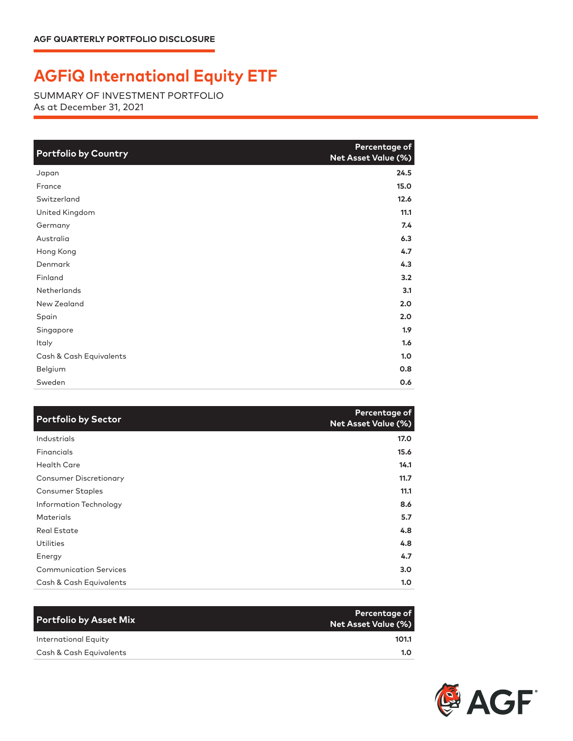## **AGFiQ International Equity ETF**

SUMMARY OF INVESTMENT PORTFOLIO As at December 31, 2021

| <b>Portfolio by Country</b> | Percentage of<br>Net Asset Value (%) |
|-----------------------------|--------------------------------------|
| Japan                       | 24.5                                 |
| France                      | 15.0                                 |
| Switzerland                 | 12.6                                 |
| United Kingdom              | 11.1                                 |
| Germany                     | 7.4                                  |
| Australia                   | 6.3                                  |
| Hong Kong                   | 4.7                                  |
| Denmark                     | 4.3                                  |
| Finland                     | 3.2                                  |
| <b>Netherlands</b>          | 3.1                                  |
| New Zealand                 | 2.0                                  |
| Spain                       | 2.0                                  |
| Singapore                   | 1.9 <sup>2</sup>                     |
| Italy                       | 1.6                                  |
| Cash & Cash Equivalents     | 1.0                                  |
| Belgium                     | 0.8                                  |
| Sweden                      | 0.6                                  |

| <b>Portfolio by Sector</b>    | Percentage of<br><b>Net Asset Value (%)</b> |
|-------------------------------|---------------------------------------------|
| Industrials                   | 17.0                                        |
| Financials                    | 15.6                                        |
| <b>Health Care</b>            | 14.1                                        |
| <b>Consumer Discretionary</b> | 11.7                                        |
| Consumer Staples              | 11.1                                        |
| Information Technology        | 8.6                                         |
| <b>Materials</b>              | 5.7                                         |
| <b>Real Estate</b>            | 4.8                                         |
| <b>Utilities</b>              | 4.8                                         |
| Energy                        | 4.7                                         |
| <b>Communication Services</b> | 3.0 <sub>2</sub>                            |
| Cash & Cash Equivalents       | 1.0                                         |

| <b>Portfolio by Asset Mix</b> | Percentage of<br>Net Asset Value (%) |
|-------------------------------|--------------------------------------|
| International Equity          | 101.1                                |
| Cash & Cash Equivalents       | 1.O                                  |